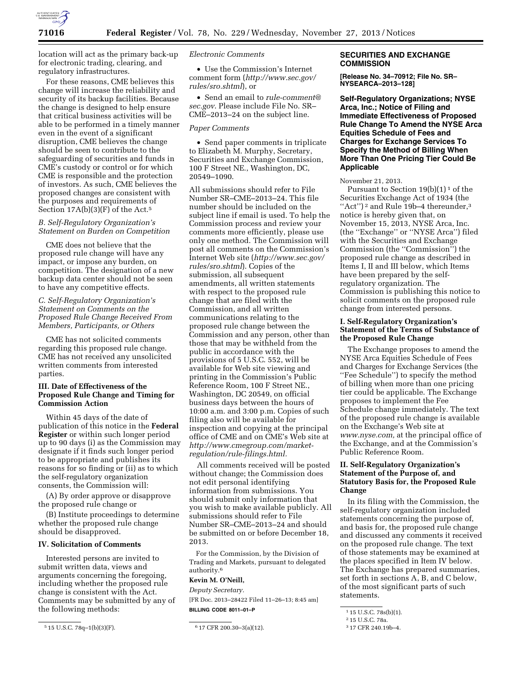

location will act as the primary back-up for electronic trading, clearing, and regulatory infrastructures.

For these reasons, CME believes this change will increase the reliability and security of its backup facilities. Because the change is designed to help ensure that critical business activities will be able to be performed in a timely manner even in the event of a significant disruption, CME believes the change should be seen to contribute to the safeguarding of securities and funds in CME's custody or control or for which CME is responsible and the protection of investors. As such, CME believes the proposed changes are consistent with the purposes and requirements of Section  $17A(b)(3)(F)$  of the Act.<sup>5</sup>

## *B. Self-Regulatory Organization's Statement on Burden on Competition*

CME does not believe that the proposed rule change will have any impact, or impose any burden, on competition. The designation of a new backup data center should not be seen to have any competitive effects.

## *C. Self-Regulatory Organization's Statement on Comments on the Proposed Rule Change Received From Members, Participants, or Others*

CME has not solicited comments regarding this proposed rule change. CME has not received any unsolicited written comments from interested parties.

## **III. Date of Effectiveness of the Proposed Rule Change and Timing for Commission Action**

Within 45 days of the date of publication of this notice in the **Federal Register** or within such longer period up to 90 days (i) as the Commission may designate if it finds such longer period to be appropriate and publishes its reasons for so finding or (ii) as to which the self-regulatory organization consents, the Commission will:

(A) By order approve or disapprove the proposed rule change or

(B) Institute proceedings to determine whether the proposed rule change should be disapproved.

#### **IV. Solicitation of Comments**

Interested persons are invited to submit written data, views and arguments concerning the foregoing, including whether the proposed rule change is consistent with the Act. Comments may be submitted by any of the following methods:

#### *Electronic Comments*

• Use the Commission's Internet comment form (*[http://www.sec.gov/](http://www.sec.gov/rules/sro.shtml) [rules/sro.shtml](http://www.sec.gov/rules/sro.shtml)*), or

• Send an email to *[rule-comment@](mailto:rule-comment@sec.gov) [sec.gov](mailto:rule-comment@sec.gov)*. Please include File No. SR– CME–2013–24 on the subject line.

## *Paper Comments*

• Send paper comments in triplicate to Elizabeth M. Murphy, Secretary, Securities and Exchange Commission, 100 F Street NE., Washington, DC, 20549–1090.

All submissions should refer to File Number SR–CME–2013–24. This file number should be included on the subject line if email is used. To help the Commission process and review your comments more efficiently, please use only one method. The Commission will post all comments on the Commission's Internet Web site (*[http://www.sec.gov/](http://www.sec.gov/rules/sro.shtml) [rules/sro.shtml](http://www.sec.gov/rules/sro.shtml)*). Copies of the submission, all subsequent amendments, all written statements with respect to the proposed rule change that are filed with the Commission, and all written communications relating to the proposed rule change between the Commission and any person, other than those that may be withheld from the public in accordance with the provisions of 5 U.S.C. 552, will be available for Web site viewing and printing in the Commission's Public Reference Room, 100 F Street NE., Washington, DC 20549, on official business days between the hours of 10:00 a.m. and 3:00 p.m. Copies of such filing also will be available for inspection and copying at the principal office of CME and on CME's Web site at *[http://www.cmegroup.com/market](http://www.cmegroup.com/market-regulation/rule-filings.html)[regulation/rule-filings.html.](http://www.cmegroup.com/market-regulation/rule-filings.html)* 

All comments received will be posted without change; the Commission does not edit personal identifying information from submissions. You should submit only information that you wish to make available publicly. All submissions should refer to File Number SR–CME–2013–24 and should be submitted on or before December 18, 2013.

For the Commission, by the Division of Trading and Markets, pursuant to delegated authority.6

## **Kevin M. O'Neill,**

*Deputy Secretary.*  [FR Doc. 2013–28422 Filed 11–26–13; 8:45 am] **BILLING CODE 8011–01–P** 

## **SECURITIES AND EXCHANGE COMMISSION**

**[Release No. 34–70912; File No. SR– NYSEARCA–2013–128]** 

**Self-Regulatory Organizations; NYSE Arca, Inc.; Notice of Filing and Immediate Effectiveness of Proposed Rule Change To Amend the NYSE Arca Equities Schedule of Fees and Charges for Exchange Services To Specify the Method of Billing When More Than One Pricing Tier Could Be Applicable** 

### November 21, 2013.

Pursuant to Section  $19(b)(1)^1$  of the Securities Exchange Act of 1934 (the "Act")<sup>2</sup> and Rule 19b-4 thereunder,<sup>3</sup> notice is hereby given that, on November 15, 2013, NYSE Arca, Inc. (the ''Exchange'' or ''NYSE Arca'') filed with the Securities and Exchange Commission (the ''Commission'') the proposed rule change as described in Items I, II and III below, which Items have been prepared by the selfregulatory organization. The Commission is publishing this notice to solicit comments on the proposed rule change from interested persons.

#### **I. Self-Regulatory Organization's Statement of the Terms of Substance of the Proposed Rule Change**

The Exchange proposes to amend the NYSE Arca Equities Schedule of Fees and Charges for Exchange Services (the ''Fee Schedule'') to specify the method of billing when more than one pricing tier could be applicable. The Exchange proposes to implement the Fee Schedule change immediately. The text of the proposed rule change is available on the Exchange's Web site at *[www.nyse.com,](http://www.nyse.com)* at the principal office of the Exchange, and at the Commission's Public Reference Room.

## **II. Self-Regulatory Organization's Statement of the Purpose of, and Statutory Basis for, the Proposed Rule Change**

In its filing with the Commission, the self-regulatory organization included statements concerning the purpose of, and basis for, the proposed rule change and discussed any comments it received on the proposed rule change. The text of those statements may be examined at the places specified in Item IV below. The Exchange has prepared summaries, set forth in sections A, B, and C below, of the most significant parts of such statements.

<sup>5</sup> 15 U.S.C. 78q–1(b)(3)(F). 6 17 CFR 200.30–3(a)(12).

<sup>1</sup> 15 U.S.C. 78s(b)(1).

<sup>2</sup> 15 U.S.C. 78a.

<sup>3</sup> 17 CFR 240.19b–4.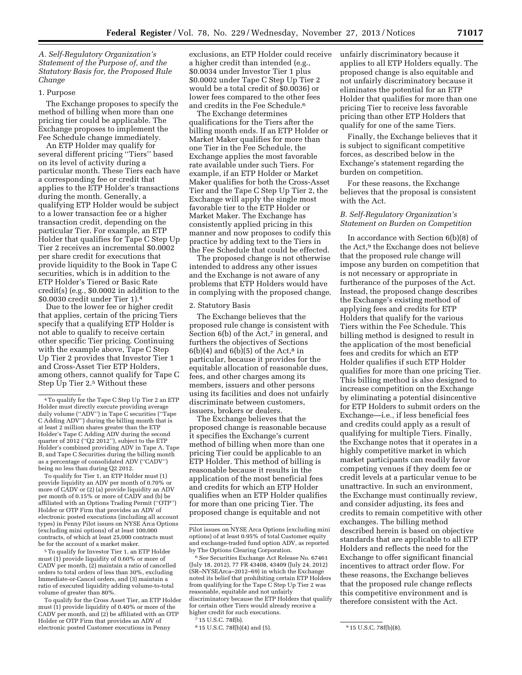*A. Self-Regulatory Organization's Statement of the Purpose of, and the Statutory Basis for, the Proposed Rule Change* 

#### 1. Purpose

The Exchange proposes to specify the method of billing when more than one pricing tier could be applicable. The Exchange proposes to implement the Fee Schedule change immediately.

An ETP Holder may qualify for several different pricing ''Tiers'' based on its level of activity during a particular month. These Tiers each have a corresponding fee or credit that applies to the ETP Holder's transactions during the month. Generally, a qualifying ETP Holder would be subject to a lower transaction fee or a higher transaction credit, depending on the particular Tier. For example, an ETP Holder that qualifies for Tape C Step Up Tier 2 receives an incremental \$0.0002 per share credit for executions that provide liquidity to the Book in Tape C securities, which is in addition to the ETP Holder's Tiered or Basic Rate credit(s) (e.g., \$0.0002 in addition to the \$0.0030 credit under Tier 1).4

Due to the lower fee or higher credit that applies, certain of the pricing Tiers specify that a qualifying ETP Holder is not able to qualify to receive certain other specific Tier pricing. Continuing with the example above, Tape C Step Up Tier 2 provides that Investor Tier 1 and Cross-Asset Tier ETP Holders, among others, cannot qualify for Tape C Step Up Tier 2.5 Without these

To qualify for Tier 1, an ETP Holder must (1) provide liquidity an ADV per month of 0.70% or more of CADV or (2) (a) provide liquidity an ADV per month of 0.15% or more of CADV and (b) be affiliated with an Options Trading Permit (''OTP'') Holder or OTP Firm that provides an ADV of electronic posted executions (including all account types) in Penny Pilot issues on NYSE Arca Options (excluding mini options) of at least 100,000 contracts, of which at least 25,000 contracts must be for the account of a market maker.

5To qualify for Investor Tier 1, an ETP Holder must (1) provide liquidity of 0.60% or more of CADV per month, (2) maintain a ratio of cancelled orders to total orders of less than 30%, excluding Immediate-or-Cancel orders, and (3) maintain a ratio of executed liquidity adding volume-to-total volume of greater than 80%.

To qualify for the Cross Asset Tier, an ETP Holder must (1) provide liquidity of 0.40% or more of the CADV per month, and (2) be affiliated with an OTP Holder or OTP Firm that provides an ADV of electronic posted Customer executions in Penny

exclusions, an ETP Holder could receive a higher credit than intended (e.g., \$0.0034 under Investor Tier 1 plus \$0.0002 under Tape C Step Up Tier 2 would be a total credit of \$0.0036) or lower fees compared to the other fees and credits in the Fee Schedule.6

The Exchange determines qualifications for the Tiers after the billing month ends. If an ETP Holder or Market Maker qualifies for more than one Tier in the Fee Schedule, the Exchange applies the most favorable rate available under such Tiers. For example, if an ETP Holder or Market Maker qualifies for both the Cross-Asset Tier and the Tape C Step Up Tier 2, the Exchange will apply the single most favorable tier to the ETP Holder or Market Maker. The Exchange has consistently applied pricing in this manner and now proposes to codify this practice by adding text to the Tiers in the Fee Schedule that could be effected.

The proposed change is not otherwise intended to address any other issues and the Exchange is not aware of any problems that ETP Holders would have in complying with the proposed change.

#### 2. Statutory Basis

The Exchange believes that the proposed rule change is consistent with Section  $6(b)$  of the Act,<sup>7</sup> in general, and furthers the objectives of Sections  $6(b)(4)$  and  $6(b)(5)$  of the Act,<sup>8</sup> in particular, because it provides for the equitable allocation of reasonable dues, fees, and other charges among its members, issuers and other persons using its facilities and does not unfairly discriminate between customers, issuers, brokers or dealers.

The Exchange believes that the proposed change is reasonable because it specifies the Exchange's current method of billing when more than one pricing Tier could be applicable to an ETP Holder. This method of billing is reasonable because it results in the application of the most beneficial fees and credits for which an ETP Holder qualifies when an ETP Holder qualifies for more than one pricing Tier. The proposed change is equitable and not

unfairly discriminatory because it applies to all ETP Holders equally. The proposed change is also equitable and not unfairly discriminatory because it eliminates the potential for an ETP Holder that qualifies for more than one pricing Tier to receive less favorable pricing than other ETP Holders that qualify for one of the same Tiers.

Finally, the Exchange believes that it is subject to significant competitive forces, as described below in the Exchange's statement regarding the burden on competition.

For these reasons, the Exchange believes that the proposal is consistent with the Act.

### *B. Self-Regulatory Organization's Statement on Burden on Competition*

In accordance with Section 6(b)(8) of the Act,9 the Exchange does not believe that the proposed rule change will impose any burden on competition that is not necessary or appropriate in furtherance of the purposes of the Act. Instead, the proposed change describes the Exchange's existing method of applying fees and credits for ETP Holders that qualify for the various Tiers within the Fee Schedule. This billing method is designed to result in the application of the most beneficial fees and credits for which an ETP Holder qualifies if such ETP Holder qualifies for more than one pricing Tier. This billing method is also designed to increase competition on the Exchange by eliminating a potential disincentive for ETP Holders to submit orders on the Exchange—i.e., if less beneficial fees and credits could apply as a result of qualifying for multiple Tiers. Finally, the Exchange notes that it operates in a highly competitive market in which market participants can readily favor competing venues if they deem fee or credit levels at a particular venue to be unattractive. In such an environment, the Exchange must continually review, and consider adjusting, its fees and credits to remain competitive with other exchanges. The billing method described herein is based on objective standards that are applicable to all ETP Holders and reflects the need for the Exchange to offer significant financial incentives to attract order flow. For these reasons, the Exchange believes that the proposed rule change reflects this competitive environment and is therefore consistent with the Act.

<sup>4</sup>To qualify for the Tape C Step Up Tier 2 an ETP Holder must directly execute providing average daily volume (''ADV'') in Tape C securities (''Tape C Adding ADV'') during the billing month that is at least 2 million shares greater than the ETP Holder's Tape C Adding ADV during the second quarter of 2012 ("Q2 2012"), subject to the ETP Holder's combined providing ADV in Tape A, Tape B, and Tape C Securities during the billing month as a percentage of consolidated ADV (''CADV'') being no less than during Q2 2012.

Pilot issues on NYSE Arca Options (excluding mini options) of at least 0.95% of total Customer equity and exchange-traded fund option ADV, as reported by The Options Clearing Corporation.

<sup>6</sup>*See* Securities Exchange Act Release No. 67461 (July 18, 2012), 77 FR 43408, 43409 (July 24, 2012) (SR–NYSEArca–2012–69) in which the Exchange noted its belief that prohibiting certain ETP Holders from qualifying for the Tape C Step Up Tier 2 was reasonable, equitable and not unfairly discriminatory because the ETP Holders that qualify for certain other Tiers would already receive a higher credit for such executions.

<sup>7</sup> 15 U.S.C. 78f(b).

<sup>&</sup>lt;sup>8</sup> 15 U.S.C. 78f(b)(4) and (5). 9 15 U.S.C. 78f(b)(8).